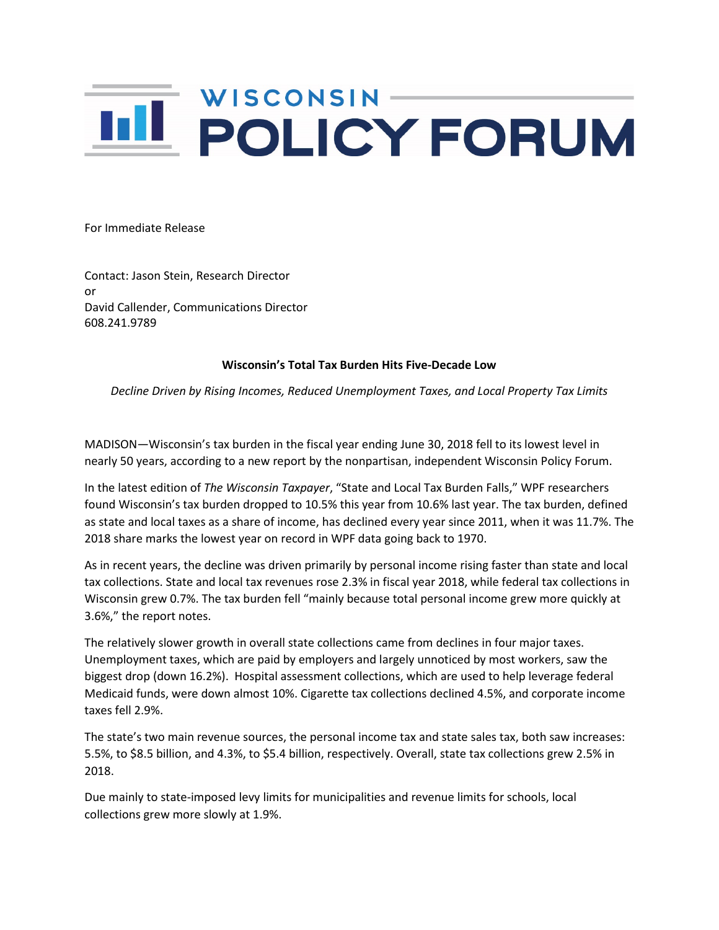## **IIL POLICY FORUM**

For Immediate Release

Contact: Jason Stein, Research Director or David Callender, Communications Director 608.241.9789

## **Wisconsin's Total Tax Burden Hits Five-Decade Low**

*Decline Driven by Rising Incomes, Reduced Unemployment Taxes, and Local Property Tax Limits*

MADISON—Wisconsin's tax burden in the fiscal year ending June 30, 2018 fell to its lowest level in nearly 50 years, according to a new report by the nonpartisan, independent Wisconsin Policy Forum.

In the latest edition of *The Wisconsin Taxpayer*, "State and Local Tax Burden Falls," WPF researchers found Wisconsin's tax burden dropped to 10.5% this year from 10.6% last year. The tax burden, defined as state and local taxes as a share of income, has declined every year since 2011, when it was 11.7%. The 2018 share marks the lowest year on record in WPF data going back to 1970.

As in recent years, the decline was driven primarily by personal income rising faster than state and local tax collections. State and local tax revenues rose 2.3% in fiscal year 2018, while federal tax collections in Wisconsin grew 0.7%. The tax burden fell "mainly because total personal income grew more quickly at 3.6%," the report notes.

The relatively slower growth in overall state collections came from declines in four major taxes. Unemployment taxes, which are paid by employers and largely unnoticed by most workers, saw the biggest drop (down 16.2%). Hospital assessment collections, which are used to help leverage federal Medicaid funds, were down almost 10%. Cigarette tax collections declined 4.5%, and corporate income taxes fell 2.9%.

The state's two main revenue sources, the personal income tax and state sales tax, both saw increases: 5.5%, to \$8.5 billion, and 4.3%, to \$5.4 billion, respectively. Overall, state tax collections grew 2.5% in 2018.

Due mainly to state-imposed levy limits for municipalities and revenue limits for schools, local collections grew more slowly at 1.9%.